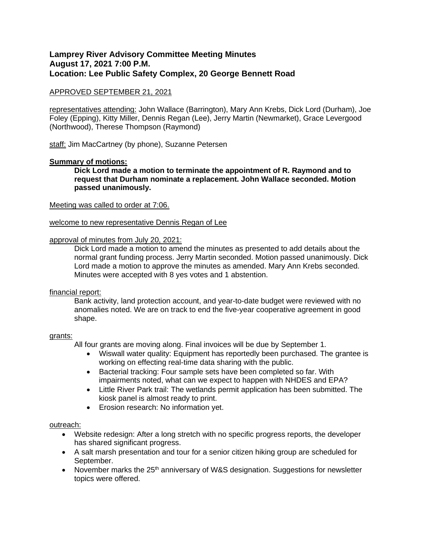# **Lamprey River Advisory Committee Meeting Minutes August 17, 2021 7:00 P.M. Location: Lee Public Safety Complex, 20 George Bennett Road**

## APPROVED SEPTEMBER 21, 2021

representatives attending: John Wallace (Barrington), Mary Ann Krebs, Dick Lord (Durham), Joe Foley (Epping), Kitty Miller, Dennis Regan (Lee), Jerry Martin (Newmarket), Grace Levergood (Northwood), Therese Thompson (Raymond)

staff: Jim MacCartney (by phone), Suzanne Petersen

### **Summary of motions:**

**Dick Lord made a motion to terminate the appointment of R. Raymond and to request that Durham nominate a replacement. John Wallace seconded. Motion passed unanimously.** 

#### Meeting was called to order at 7:06.

#### welcome to new representative Dennis Regan of Lee

#### approval of minutes from July 20, 2021:

Dick Lord made a motion to amend the minutes as presented to add details about the normal grant funding process. Jerry Martin seconded. Motion passed unanimously. Dick Lord made a motion to approve the minutes as amended. Mary Ann Krebs seconded. Minutes were accepted with 8 yes votes and 1 abstention.

#### financial report:

Bank activity, land protection account, and year-to-date budget were reviewed with no anomalies noted. We are on track to end the five-year cooperative agreement in good shape.

#### grants:

All four grants are moving along. Final invoices will be due by September 1.

- Wiswall water quality: Equipment has reportedly been purchased. The grantee is working on effecting real-time data sharing with the public.
- Bacterial tracking: Four sample sets have been completed so far. With impairments noted, what can we expect to happen with NHDES and EPA?
- Little River Park trail: The wetlands permit application has been submitted. The kiosk panel is almost ready to print.
- Erosion research: No information yet.

#### outreach:

- Website redesign: After a long stretch with no specific progress reports, the developer has shared significant progress.
- A salt marsh presentation and tour for a senior citizen hiking group are scheduled for September.
- November marks the 25<sup>th</sup> anniversary of W&S designation. Suggestions for newsletter topics were offered.